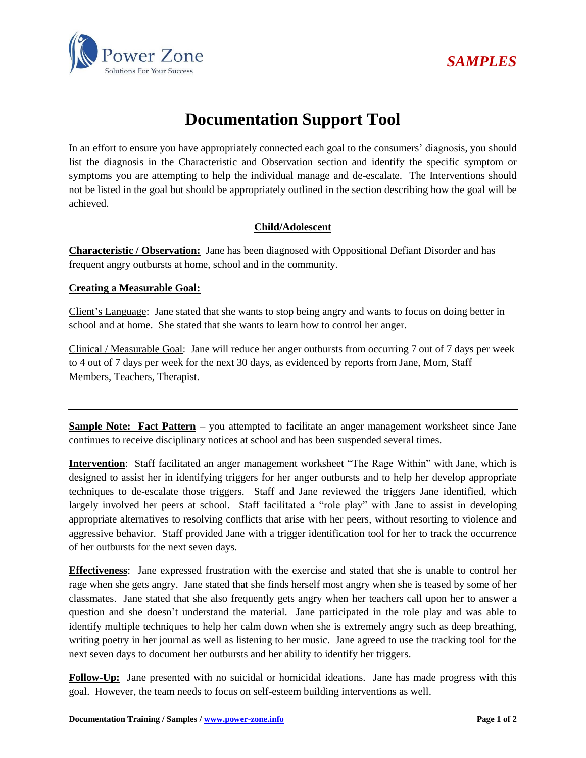



## **Documentation Support Tool**

In an effort to ensure you have appropriately connected each goal to the consumers' diagnosis, you should list the diagnosis in the Characteristic and Observation section and identify the specific symptom or symptoms you are attempting to help the individual manage and de-escalate. The Interventions should not be listed in the goal but should be appropriately outlined in the section describing how the goal will be achieved.

## **Child/Adolescent**

**Characteristic / Observation:** Jane has been diagnosed with Oppositional Defiant Disorder and has frequent angry outbursts at home, school and in the community.

## **Creating a Measurable Goal:**

Client's Language: Jane stated that she wants to stop being angry and wants to focus on doing better in school and at home. She stated that she wants to learn how to control her anger.

Clinical / Measurable Goal: Jane will reduce her anger outbursts from occurring 7 out of 7 days per week to 4 out of 7 days per week for the next 30 days, as evidenced by reports from Jane, Mom, Staff Members, Teachers, Therapist.

**Sample Note: Fact Pattern** – you attempted to facilitate an anger management worksheet since Jane continues to receive disciplinary notices at school and has been suspended several times.

**Intervention**: Staff facilitated an anger management worksheet "The Rage Within" with Jane, which is designed to assist her in identifying triggers for her anger outbursts and to help her develop appropriate techniques to de-escalate those triggers. Staff and Jane reviewed the triggers Jane identified, which largely involved her peers at school. Staff facilitated a "role play" with Jane to assist in developing appropriate alternatives to resolving conflicts that arise with her peers, without resorting to violence and aggressive behavior. Staff provided Jane with a trigger identification tool for her to track the occurrence of her outbursts for the next seven days.

**Effectiveness**: Jane expressed frustration with the exercise and stated that she is unable to control her rage when she gets angry. Jane stated that she finds herself most angry when she is teased by some of her classmates. Jane stated that she also frequently gets angry when her teachers call upon her to answer a question and she doesn't understand the material. Jane participated in the role play and was able to identify multiple techniques to help her calm down when she is extremely angry such as deep breathing, writing poetry in her journal as well as listening to her music. Jane agreed to use the tracking tool for the next seven days to document her outbursts and her ability to identify her triggers.

**Follow-Up:** Jane presented with no suicidal or homicidal ideations. Jane has made progress with this goal. However, the team needs to focus on self-esteem building interventions as well.